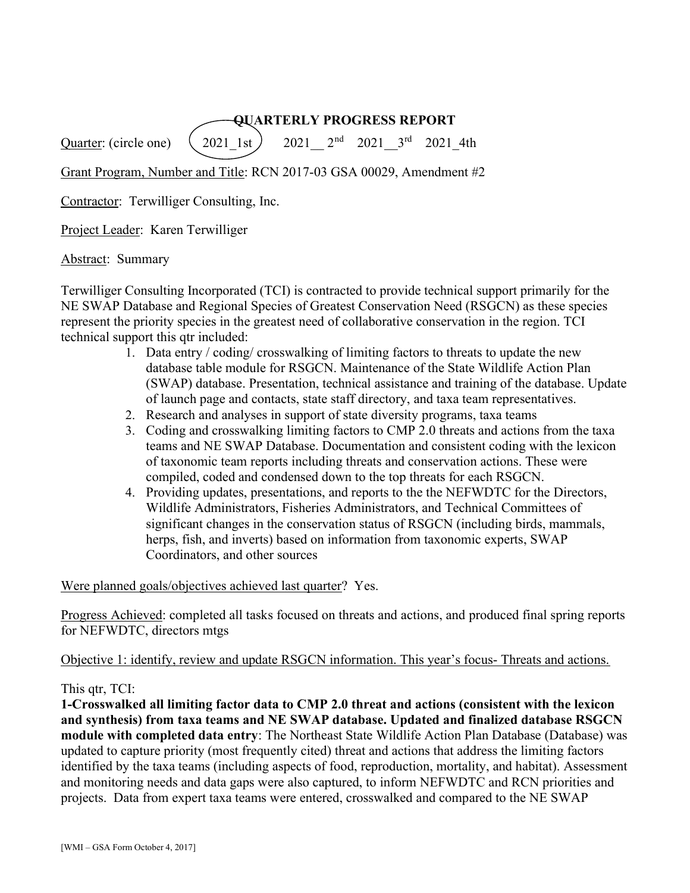# QUARTERLY PROGRESS REPORT

Quarter: (circle one)  $(2021 \; 1st)$  2021  $2^{nd}$  2021  $3^{rd}$  2021 4th

Grant Program, Number and Title: RCN 2017-03 GSA 00029, Amendment #2

Contractor: Terwilliger Consulting, Inc.

Project Leader: Karen Terwilliger

Abstract: Summary

Terwilliger Consulting Incorporated (TCI) is contracted to provide technical support primarily for the NE SWAP Database and Regional Species of Greatest Conservation Need (RSGCN) as these species represent the priority species in the greatest need of collaborative conservation in the region. TCI technical support this qtr included:

- 1. Data entry / coding/ crosswalking of limiting factors to threats to update the new database table module for RSGCN. Maintenance of the State Wildlife Action Plan (SWAP) database. Presentation, technical assistance and training of the database. Update of launch page and contacts, state staff directory, and taxa team representatives.
- 2. Research and analyses in support of state diversity programs, taxa teams
- 3. Coding and crosswalking limiting factors to CMP 2.0 threats and actions from the taxa teams and NE SWAP Database. Documentation and consistent coding with the lexicon of taxonomic team reports including threats and conservation actions. These were compiled, coded and condensed down to the top threats for each RSGCN.
- 4. Providing updates, presentations, and reports to the the NEFWDTC for the Directors, Wildlife Administrators, Fisheries Administrators, and Technical Committees of significant changes in the conservation status of RSGCN (including birds, mammals, herps, fish, and inverts) based on information from taxonomic experts, SWAP Coordinators, and other sources

Were planned goals/objectives achieved last quarter? Yes.

Progress Achieved: completed all tasks focused on threats and actions, and produced final spring reports for NEFWDTC, directors mtgs

Objective 1: identify, review and update RSGCN information. This year's focus- Threats and actions.

This qtr, TCI:

1-Crosswalked all limiting factor data to CMP 2.0 threat and actions (consistent with the lexicon and synthesis) from taxa teams and NE SWAP database. Updated and finalized database RSGCN module with completed data entry: The Northeast State Wildlife Action Plan Database (Database) was updated to capture priority (most frequently cited) threat and actions that address the limiting factors identified by the taxa teams (including aspects of food, reproduction, mortality, and habitat). Assessment and monitoring needs and data gaps were also captured, to inform NEFWDTC and RCN priorities and projects. Data from expert taxa teams were entered, crosswalked and compared to the NE SWAP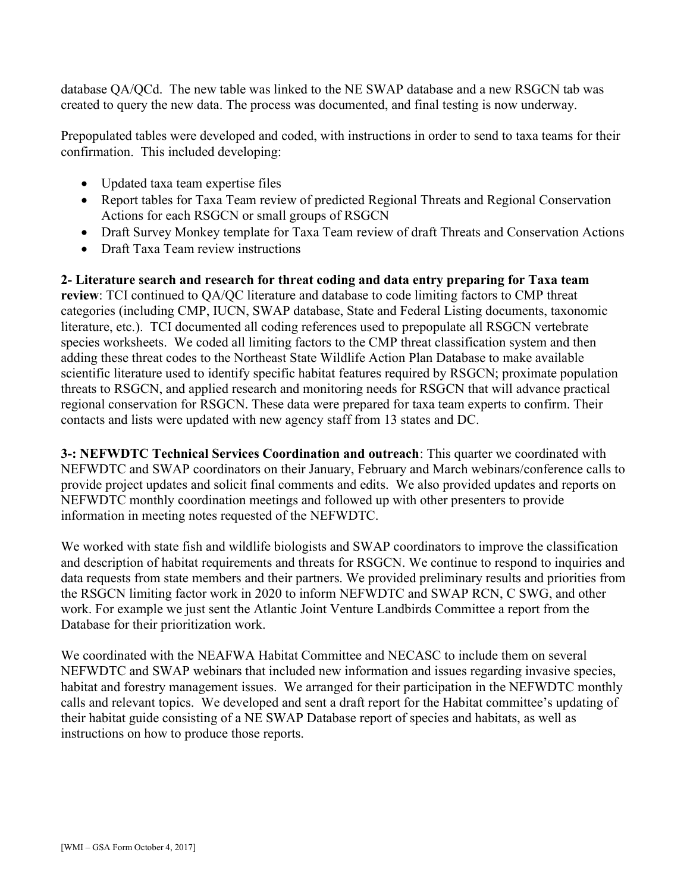database QA/QCd. The new table was linked to the NE SWAP database and a new RSGCN tab was created to query the new data. The process was documented, and final testing is now underway.

Prepopulated tables were developed and coded, with instructions in order to send to taxa teams for their confirmation. This included developing:

- Updated taxa team expertise files
- Report tables for Taxa Team review of predicted Regional Threats and Regional Conservation Actions for each RSGCN or small groups of RSGCN
- Draft Survey Monkey template for Taxa Team review of draft Threats and Conservation Actions
- Draft Taxa Team review instructions

2- Literature search and research for threat coding and data entry preparing for Taxa team review: TCI continued to QA/QC literature and database to code limiting factors to CMP threat categories (including CMP, IUCN, SWAP database, State and Federal Listing documents, taxonomic literature, etc.). TCI documented all coding references used to prepopulate all RSGCN vertebrate species worksheets. We coded all limiting factors to the CMP threat classification system and then adding these threat codes to the Northeast State Wildlife Action Plan Database to make available scientific literature used to identify specific habitat features required by RSGCN; proximate population threats to RSGCN, and applied research and monitoring needs for RSGCN that will advance practical regional conservation for RSGCN. These data were prepared for taxa team experts to confirm. Their contacts and lists were updated with new agency staff from 13 states and DC.

3-: NEFWDTC Technical Services Coordination and outreach: This quarter we coordinated with NEFWDTC and SWAP coordinators on their January, February and March webinars/conference calls to provide project updates and solicit final comments and edits. We also provided updates and reports on NEFWDTC monthly coordination meetings and followed up with other presenters to provide information in meeting notes requested of the NEFWDTC.

We worked with state fish and wildlife biologists and SWAP coordinators to improve the classification and description of habitat requirements and threats for RSGCN. We continue to respond to inquiries and data requests from state members and their partners. We provided preliminary results and priorities from the RSGCN limiting factor work in 2020 to inform NEFWDTC and SWAP RCN, C SWG, and other work. For example we just sent the Atlantic Joint Venture Landbirds Committee a report from the Database for their prioritization work.

We coordinated with the NEAFWA Habitat Committee and NECASC to include them on several NEFWDTC and SWAP webinars that included new information and issues regarding invasive species, habitat and forestry management issues. We arranged for their participation in the NEFWDTC monthly calls and relevant topics. We developed and sent a draft report for the Habitat committee's updating of their habitat guide consisting of a NE SWAP Database report of species and habitats, as well as instructions on how to produce those reports.